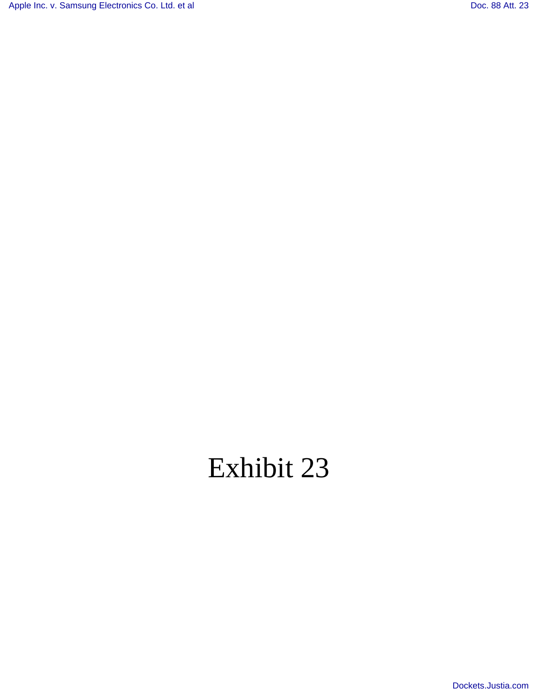[Apple Inc. v. Samsung Electronics Co. Ltd. et al](http://dockets.justia.com/docket/california/candce/5:2011cv01846/239768/) [Doc. 88 Att. 23](http://docs.justia.com/cases/federal/district-courts/california/candce/5:2011cv01846/239768/88/23.html)

## Exhibit 23

[Dockets.Justia.com](http://dockets.justia.com/)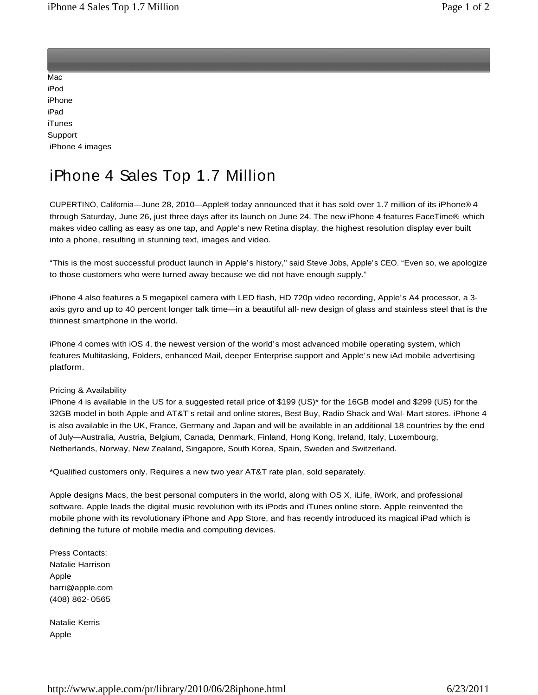<u>Application of the contract of the contract of the contract of the contract of the contract of the contract of the contract of the contract of the contract of the contract of the contract of the contract of the contract o</u>

<u>Store and the store and the store and the store and the store and the store and the store and the store and the store and the store and the store and the store and the store and the store and the store and the store and t</u> Mac and the contract of the contract of the contract of the contract of the contract of the contract of the contract of the contract of the contract of the contract of the contract of the contract of the contract of the co iPod in the contract of the contract of the contract of the contract of the contract of the contract of the contract of the contract of the contract of the contract of the contract of the contract of the contract of the co iPhone **in the case of the case of the case of the case of the case of the case of the case of the case of the case of the case of the case of the case of the case of the case of the case of the case of the case of the cas** iPad and the contract of the contract of the contract of the contract of the contract of the contract of the contract of the contract of the contract of the contract of the contract of the contract of the contract of the c iTunes and the contract of the contract of the contract of the contract of the contract of the contract of the Support iPhone 4 images

## iPhone 4 Sales Top 1.7 Million

CUPERTINO, California—June 28, 2010—Apple® today announced that it has sold over 1.7 million of its iPhone® 4 through Saturday, June 26, just three days after its launch on June 24. The new iPhone 4 features FaceTime®, which makes video calling as easy as one tap, and Apple's new Retina display, the highest resolution display ever built

into a phone, resulting in stunning text, images and video.<br>"This is the most successful product launch in Apple's history," said Steve Jobs, Apple's CEO. "Even so, we apologize to those customers who were turned away because we did not have enough supply."

iPhone 4 also features a 5 megapixel camera with LED flash, HD 720p video recording, Apple's A4 processor, a 3 axis gyro and up to 40 percent longer talk time—in a beautiful all- new design of glass and stainless steel that is the thinnest smartphone in the world.

iPhone 4 comes with iOS 4, the newest version of the world's most advanced mobile operating system, which features Multitasking, Folders, enhanced Mail, deeper Enterprise support and Apple's new iAd mobile advertising platform. The contract of the contract of the contract of the contract of the contract of the contract of the contract of the contract of the contract of the contract of the contract of the contract of the contract of the

## Pricing & Availability

iPhone 4 is available in the US for a suggested retail price of \$199 (US)\* for the 16GB model and \$299 (US) for the 32GB model in both Apple and AT&T's retail and online stores, Best Buy, Radio Shack and Wal- Mart stores. iPhone 4 is also available in the UK, France, Germany and Japan and will be available in an additional 18 countries by the end of July—Australia, Austria, Belgium, Canada, Denmark, Finland, Hong Kong, Ireland, Italy, Luxembourg, Netherlands, Norway, New Zealand, Singapore, South Korea, Spain, Sweden and Switzerland.

\*Qualified customers only. Requires a new two year AT&T rate plan, sold separately.

Apple designs Macs, the best personal computers in the world, along with OS X, iLife, iWork, and professional software. Apple leads the digital music revolution with its iPods and iTunes online store. Apple reinvented the mobile phone with its revolutionary iPhone and App Store, and has recently introduced its magical iPad which is defining the future of mobile media and computing devices.

Press Contacts: **Example 2018 Press Contacts: Press Contacts: Press Contacts: Press Contacts:** Natalie Harrison Apple **Apple** harri@apple.com (408) 862- 0565

Natalie Kerris Apple **Apple**